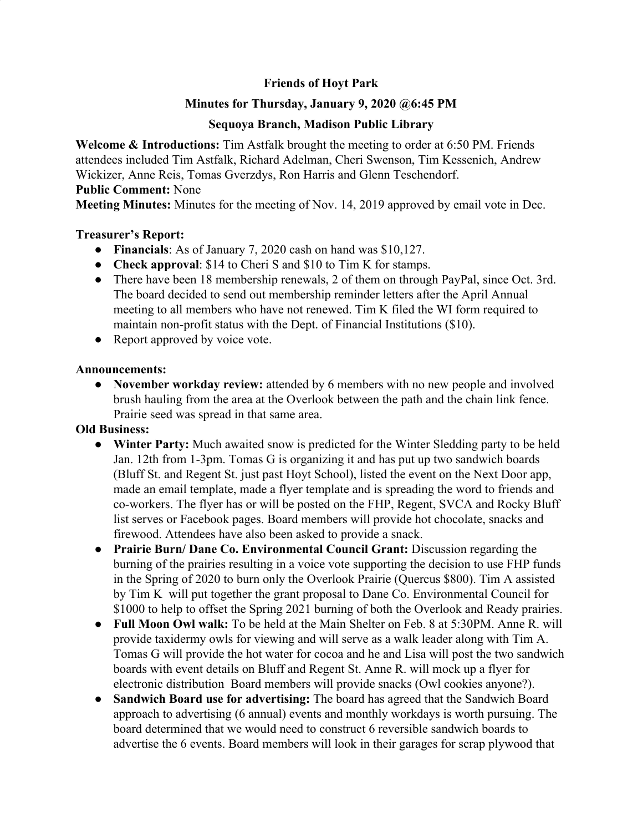# **Friends of Hoyt Park**

# **Minutes for Thursday, January 9, 2020 @6:45 PM**

## **Sequoya Branch, Madison Public Library**

**Welcome & Introductions:** Tim Astfalk brought the meeting to order at 6:50 PM. Friends attendees included Tim Astfalk, Richard Adelman, Cheri Swenson, Tim Kessenich, Andrew Wickizer, Anne Reis, Tomas Gverzdys, Ron Harris and Glenn Teschendorf.

# **Public Comment:** None

**Meeting Minutes:** Minutes for the meeting of Nov. 14, 2019 approved by email vote in Dec.

#### **Treasurer's Report:**

- **Financials**: As of January 7, 2020 cash on hand was \$10,127.
- **Check approval**: \$14 to Cheri S and \$10 to Tim K for stamps.
- There have been 18 membership renewals, 2 of them on through PayPal, since Oct. 3rd. The board decided to send out membership reminder letters after the April Annual meeting to all members who have not renewed. Tim K filed the WI form required to maintain non-profit status with the Dept. of Financial Institutions (\$10).
- Report approved by voice vote.

#### **Announcements:**

**● November workday review:** attended by 6 members with no new people and involved brush hauling from the area at the Overlook between the path and the chain link fence. Prairie seed was spread in that same area.

# **Old Business:**

- **● Winter Party:** Much awaited snow is predicted for the Winter Sledding party to be held Jan. 12th from 1-3pm. Tomas G is organizing it and has put up two sandwich boards (Bluff St. and Regent St. just past Hoyt School), listed the event on the Next Door app, made an email template, made a flyer template and is spreading the word to friends and co-workers. The flyer has or will be posted on the FHP, Regent, SVCA and Rocky Bluff list serves or Facebook pages. Board members will provide hot chocolate, snacks and firewood. Attendees have also been asked to provide a snack.
- **● Prairie Burn/ Dane Co. Environmental Council Grant:** Discussion regarding the burning of the prairies resulting in a voice vote supporting the decision to use FHP funds in the Spring of 2020 to burn only the Overlook Prairie (Quercus \$800). Tim A assisted by Tim K will put together the grant proposal to Dane Co. Environmental Council for \$1000 to help to offset the Spring 2021 burning of both the Overlook and Ready prairies.
- **● Full Moon Owl walk:** To be held at the Main Shelter on Feb. 8 at 5:30PM. Anne R. will provide taxidermy owls for viewing and will serve as a walk leader along with Tim A. Tomas G will provide the hot water for cocoa and he and Lisa will post the two sandwich boards with event details on Bluff and Regent St. Anne R. will mock up a flyer for electronic distribution Board members will provide snacks (Owl cookies anyone?).
- **● Sandwich Board use for advertising:** The board has agreed that the Sandwich Board approach to advertising (6 annual) events and monthly workdays is worth pursuing. The board determined that we would need to construct 6 reversible sandwich boards to advertise the 6 events. Board members will look in their garages for scrap plywood that